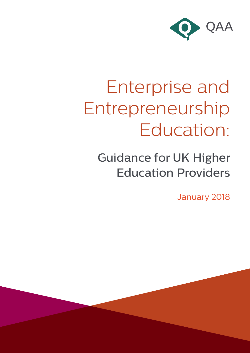

# Enterprise and Entrepreneurship Education:

Guidance for UK Higher Education Providers

January 2018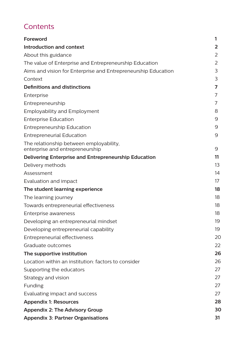# **Contents**

| <b>Foreword</b>                                                            | 1              |
|----------------------------------------------------------------------------|----------------|
| Introduction and context                                                   | $\overline{2}$ |
| About this guidance                                                        | 2              |
| The value of Enterprise and Entrepreneurship Education                     | 2              |
| Aims and vision for Enterprise and Entrepreneurship Education              | 3              |
| Context                                                                    | 3              |
| <b>Definitions and distinctions</b>                                        | 7              |
| Enterprise                                                                 | 7              |
| Entrepreneurship                                                           | 7              |
| <b>Employability and Employment</b>                                        | 8              |
| <b>Enterprise Education</b>                                                | 9              |
| <b>Entrepreneurship Education</b>                                          | 9              |
| <b>Entrepreneurial Education</b>                                           | 9              |
| The relationship between employability,<br>enterprise and entrepreneurship | 9              |
| Delivering Enterprise and Entrepreneurship Education                       | 11             |
| Delivery methods                                                           | 13             |
| Assessment                                                                 | 14             |
| Evaluation and impact                                                      | 17             |
| The student learning experience                                            | 18             |
| The learning journey                                                       | 18             |
| Towards entrepreneurial effectiveness                                      | 18             |
| Enterprise awareness                                                       | 18             |
| Developing an entrepreneurial mindset                                      | 19             |
| Developing entrepreneurial capability                                      | 19             |
| Entrepreneurial effectiveness                                              | 20             |
| Graduate outcomes                                                          | 22             |
| The supportive institution                                                 | 26             |
| Location within an institution: factors to consider                        | 26             |
| Supporting the educators                                                   | 27             |
| Strategy and vision                                                        | 27             |
| Funding                                                                    | 27             |
| Evaluating impact and success                                              | 27             |
| <b>Appendix 1: Resources</b>                                               | 28             |
| <b>Appendix 2: The Advisory Group</b>                                      | 30             |
| <b>Appendix 3: Partner Organisations</b>                                   | 31             |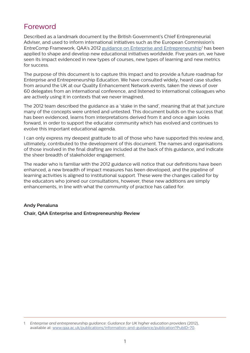# Foreword

Described as a landmark document by the British Government's Chief Entrepreneurial Adviser, and used to inform international initiatives such as the European Commission's EntreComp Framework, QAA's 2012 guidance on Enterprise and Entrepreneurship<sup>1</sup> has been applied to shape and develop new educational initiatives worldwide. Five years on, we have seen its impact evidenced in new types of courses, new types of learning and new metrics for success.

The purpose of this document is to capture this impact and to provide a future roadmap for Enterprise and Entrepreneurship Education. We have consulted widely, heard case studies from around the UK at our Quality Enhancement Network events, taken the views of over 60 delegates from an international conference, and listened to international colleagues who are actively using it in contexts that we never imagined.

The 2012 team described the guidance as a 'stake in the sand', meaning that at that juncture many of the concepts were untried and untested. This document builds on the success that has been evidenced, learns from interpretations derived from it and once again looks forward, in order to support the educator community which has evolved and continues to evolve this important educational agenda.

I can only express my deepest gratitude to all of those who have supported this review and, ultimately, contributed to the development of this document. The names and organisations of those involved in the final drafting are included at the back of this guidance, and indicate the sheer breadth of stakeholder engagement.

The reader who is familiar with the 2012 guidance will notice that our definitions have been enhanced, a new breadth of impact measures has been developed, and the pipeline of learning activities is aligned to institutional support. These were the changes called for by the educators who joined our consultations, however, these new additions are simply enhancements, in line with what the community of practice has called for.

#### **Andy Penaluna**

#### **Chair, QAA Enterprise and Entrepreneurship Review**

<sup>1</sup> *Enterprise and entrepreneurship guidance: Guidance for UK higher education providers* (2012), available at: [www.qaa.ac.uk/publications/information-and-guidance/publication?PubID=70.](http://www.qaa.ac.uk/publications/information-and-guidance/publication?PubID=70)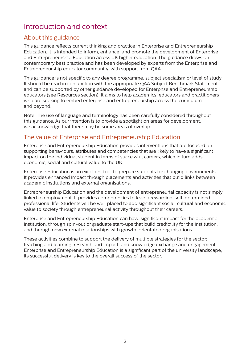# Introduction and context

# About this guidance

This guidance reflects current thinking and practice in Enterprise and Entrepreneurship Education. It is intended to inform, enhance, and promote the development of Enterprise and Entrepreneurship Education across UK higher education. The guidance draws on contemporary best practice and has been developed by experts from the Enterprise and Entrepreneurship educator community, with support from QAA.

This guidance is not specific to any degree programme, subject specialism or level of study. It should be read in conjunction with the appropriate QAA Subject Benchmark Statement and can be supported by other guidance developed for Enterprise and Entrepreneurship educators (see Resources section). It aims to help academics, educators and practitioners who are seeking to embed enterprise and entrepreneurship across the curriculum and beyond.

Note: The use of language and terminology has been carefully considered throughout this guidance. As our intention is to provide a spotlight on areas for development, we acknowledge that there may be some areas of overlap.

# The value of Enterprise and Entrepreneurship Education

Enterprise and Entrepreneurship Education provides interventions that are focused on supporting behaviours, attributes and competencies that are likely to have a significant impact on the individual student in terms of successful careers, which in turn adds economic, social and cultural value to the UK.

Enterprise Education is an excellent tool to prepare students for changing environments. It provides enhanced impact through placements and activities that build links between academic institutions and external organisations.

Entrepreneurship Education and the development of entrepreneurial capacity is not simply linked to employment. It provides competencies to lead a rewarding, self-determined professional life. Students will be well placed to add significant social, cultural and economic value to society through entrepreneurial activity throughout their careers.

Enterprise and Entrepreneurship Education can have significant impact for the academic institution, through spin-out or graduate start-ups that build credibility for the institution, and through new external relationships with growth-orientated organisations.

These activities combine to support the delivery of multiple strategies for the sector: teaching and learning; research and impact; and knowledge exchange and engagement. Enterprise and Entrepreneurship Education is a significant part of the university landscape; its successful delivery is key to the overall success of the sector.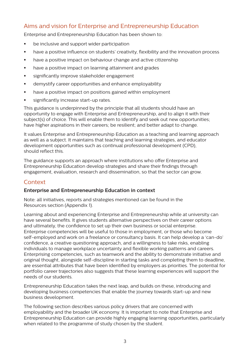# Aims and vision for Enterprise and Entrepreneurship Education

Enterprise and Entrepreneurship Education has been shown to:

- be inclusive and support wider participation
- **■** have a positive influence on students' creativity, flexibility and the innovation process
- **•** have a positive impact on behaviour change and active citizenship
- **•** have a positive impact on learning attainment and grades
- **EXECT:** significantly improve stakeholder engagement
- **EXEDENT** demystify career opportunities and enhance employability
- **•** have a positive impact on positions gained within employment
- significantly increase start-up rates.

This guidance is underpinned by the principle that all students should have an opportunity to engage with Enterprise and Entrepreneurship, and to align it with their subject(s) of choice. This will enable them to identify and seek out new opportunities; have higher aspirations in their careers; be resilient; and better adapt to change.

It values Enterprise and Entrepreneurship Education as a teaching and learning approach as well as a subject. It maintains that teaching and learning strategies, and educator development opportunities such as continual professional development (CPD), should reflect this.

The guidance supports an approach where institutions who offer Enterprise and Entrepreneurship Education develop strategies and share their findings through engagement, evaluation, research and dissemination, so that the sector can grow.

# **Context**

## **Enterprise and Entrepreneurship Education in context**

Note: all initiatives, reports and strategies mentioned can be found in the Resources section (Appendix 1).

Learning about and experiencing Enterprise and Entrepreneurship while at university can have several benefits. It gives students alternative perspectives on their career options and ultimately, the confidence to set up their own business or social enterprise. Enterprise competencies will be useful to those in employment, or those who become self-employed and work on a freelance or consultancy basis. It can help develop a 'can-do' confidence, a creative questioning approach, and a willingness to take risks, enabling individuals to manage workplace uncertainty and flexible working patterns and careers. Enterprising competencies, such as teamwork and the ability to demonstrate initiative and original thought, alongside self-discipline in starting tasks and completing them to deadline, are essential attributes that have been identified by employers as priorities. The potential for portfolio career trajectories also suggests that these learning experiences will support the needs of our students.

Entrepreneurship Education takes the next leap, and builds on these, introducing and developing business competencies that enable the journey towards start-up and new business development.

The following section describes various policy drivers that are concerned with employability and the broader UK economy. It is important to note that Enterprise and Entrepreneurship Education can provide highly engaging learning opportunities, particularly when related to the programme of study chosen by the student.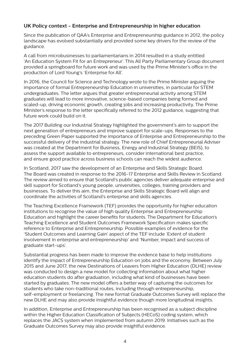#### **UK Policy context - Enterprise and Entrepreneurship in higher education**

Since the publication of QAA's Enterprise and Entrepreneurship guidance in 2012, the policy landscape has evolved substantially and provided some key drivers for the review of the guidance.

A call from microbusinesses to parliamentarians in 2014 resulted in a study entitled 'An Education System Fit for an Entrepreneur'. This All Party Parliamentary Group document provided a springboard for future work and was used by the Prime Minister's office in the production of Lord Young's 'Enterprise for All'.

In 2016, the Council for Science and Technology wrote to the Prime Minister arguing the importance of formal Entrepreneurship Education in universities, in particular for STEM undergraduates. The letter argues that greater entrepreneurial activity among STEM graduates will lead to more innovative, science-based companies being formed and scaled-up, driving economic growth, creating jobs and increasing productivity. The Prime Minister's response to the letter specifically referred to the 2012 guidance, suggesting that future work could build on it.

The 2017 Building our Industrial Strategy highlighted the government's aim to support the next generation of entrepreneurs and improve support for scale-ups. Responses to the preceding Green Paper supported the importance of Enterprise and Entrepreneurship to the successful delivery of the industrial strategy. The new role of Chief Entrepreneurial Adviser was created at the Department for Business, Energy and Industrial Strategy (BEIS), to assess the support available to entrepreneurs, consider international best practice, and ensure good practice across business schools can reach the widest audience.

In Scotland, 2017 saw the development of an Enterprise and Skills Strategic Board. The Board was created in response to the 2016-17 Enterprise and Skills Review in Scotland. The review aimed to ensure that Scotland's public agencies deliver adequate enterprise and skill support for Scotland's young people, universities, colleges, training providers and businesses. To deliver this aim, the Enterprise and Skills Strategic Board will align and coordinate the activities of Scotland's enterprise and skills agencies.

The Teaching Excellence Framework (TEF) provides the opportunity for higher education institutions to recognise the value of high quality Enterprise and Entrepreneurship Education and highlight the career benefits for students. The Department for Education's Teaching Excellence and Student Outcomes Framework Specification makes specific reference to Enterprise and Entrepreneurship. Possible examples of evidence for the 'Student Outcomes and Learning Gain' aspect of the TEF include 'Extent of student involvement in enterprise and entrepreneurship' and 'Number, impact and success of graduate start-ups'.

Substantial progress has been made to improve the evidence base to help institutions identify the impact of Entrepreneurship Education on jobs and the economy. Between July 2015 and June 2017, the new Destinations of Leavers from Higher Education (DLHE) review was conducted to design a new model for collecting information about what higher education students do after graduation, including what kind of businesses have been started by graduates. The new model offers a better way of capturing the outcomes for students who take non-traditional routes, including through entrepreneurship, self-employment or freelancing. The new format Graduate Outcomes Survey will replace the new DLHE and may also provide insightful evidence though more longitudinal insights.

In addition, Enterprise and Entrepreneurship has been recognised as a subject discipline within the Higher Education Classification of Subjects (HECoS) coding system, which replaces the JACS system when implemented from autumn 2019. Initiatives such as the Graduate Outcomes Survey may also provide insightful evidence.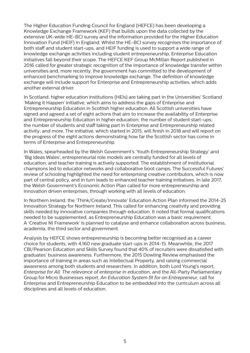The Higher Education Funding Council for England (HEFCE) has been developing a Knowledge Exchange Framework (KEF) that builds upon the data collected by the extensive UK-wide HE-BCI survey and the information provided for the Higher Education Innovation Fund (HEIF) in England. Whilst the HE-BCI survey recognises the importance of both staff and student start-ups, and HEIF funding is used to support a wide range of knowledge exchange activities including student entrepreneurship, Enterprise Education initiatives fall beyond their scope. The HEFCE KEF Group McMillan Report published in 2016 called for greater strategic recognition of the importance of knowledge transfer within universities and, more recently, the government has committed to the development of enhanced benchmarking to improve knowledge exchange. The definition of knowledge exchange will include support for Enterprise and Entrepreneurship activities, which adds another external driver.

In Scotland, higher education institutions (HEIs) are taking part in the Universities' Scotland 'Making it Happen' initiative, which aims to address the gaps of Enterprise and Entrepreneurship Education in Scottish higher education. All Scottish universities have signed and agreed a set of eight actions that aim to increase the availability of Enterprise and Entrepreneurship Education in higher education; the number of student start-ups; the number of students and staff taking part in Enterprise and Entrepreneurship related activity; and more. The initiative, which started in 2015, will finish in 2018 and will report on the progress of the eight actions demonstrating how far the Scottish sector has come in terms of Enterprise and Entrepreneurship.

In Wales, spearheaded by the Welsh Government's 'Youth Entrepreneurship Strategy' and 'Big Ideas Wales', entrepreneurial role models are centrally funded for all levels of education, and teacher training is actively supported. The establishment of institutional champions led to educator networks and collaborative boot camps. The Successful Futures' review of schooling highlighted the need for enterprising creative contributors, which is now part of central policy, and in turn leads to enhanced teacher training initiatives. In late 2017, the Welsh Government's Economic Action Plan called for more entrepreneurship and innovation driven enterprises, through working with all levels of education.

In Northern Ireland, the 'Think/Create/Innovate' Education Action Plan informed the 2014-25 Innovation Strategy for Northern Ireland. This called for enhancing creativity and providing skills needed by innovative companies through education. It noted that formal qualifications needed to be supplemented, as Entrepreneurship Education was a basic requirement. A 'Creative NI Framework' is planned to catalyse and enhance collaboration across business, academia, the third sector and government.

Analysis by HEFCE shows entrepreneurship is becoming better recognised as a career choice for students, with 4,160 new graduate start-ups in 2014-15. Meanwhile, the 2017 CBI/Pearson Education and Skills Survey found that 40% of recruiters were dissatisfied with graduates' business awareness. Furthermore, the 2015 Dowling Review emphasised the importance of training in areas such as Intellectual Property, and raising commercial awareness among both students and researchers. In addition, both Lord Young's report, *Enterprise for All: The relevance of enterprise in education*, and the All-Party Parliamentary Group for Micro Businesses report, *An Education System fit for an Entrepreneur*, call for Enterprise and Entrepreneurship Education to be embedded into the curriculum across all disciplines and all levels of education.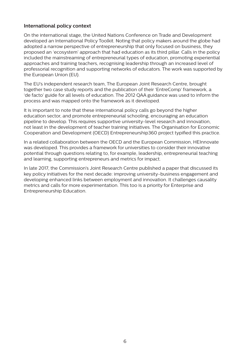#### **International policy context**

On the international stage, the United Nations Conference on Trade and Development developed an International Policy Toolkit. Noting that policy makers around the globe had adopted a narrow perspective of entrepreneurship that only focused on business, they proposed an 'ecosystem' approach that had education as its third pillar. Calls in the policy included the mainstreaming of entrepreneurial types of education, promoting experiential approaches and training teachers, recognising leadership through an increased level of professorial recognition and supporting networks of educators. The work was supported by the European Union (EU).

The EU's independent research team, The European Joint Research Centre, brought together two case study reports and the publication of their 'EntreComp' framework, a 'de facto' guide for all levels of education. The 2012 QAA guidance was used to inform the process and was mapped onto the framework as it developed.

It is important to note that these international policy calls go beyond the higher education sector, and promote entrepreneurial schooling, encouraging an education pipeline to develop. This requires supportive university-level research and innovation, not least in the development of teacher training initiatives. The Organisation for Economic Cooperation and Development (OECD) Entrepreneurship360 project typified this practice.

In a related collaboration between the OECD and the European Commission, HEInnovate was developed. This provides a framework for universities to consider their innovative potential through questions relating to, for example, leadership, entrepreneurial teaching and learning, supporting entrepreneurs and metrics for impact.

In late 2017, the Commission's Joint Research Centre published a paper that discussed its key policy initiatives for the next decade: improving university-business engagement and developing enhanced links between employment and innovation. It challenges causality metrics and calls for more experimentation. This too is a priority for Enterprise and Entrepreneurship Education.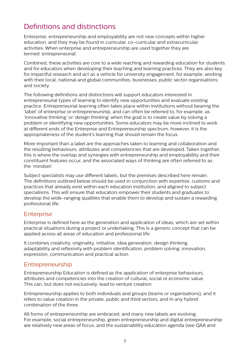# Definitions and distinctions

Enterprise, entrepreneurship and employability are not new concepts within higher education, and they may be found in curricular, co-curricular and extracurricular activities. When enterprise and entrepreneurship are used together they are termed 'entrepreneurial'.

Combined, these activities are core to a wide reaching and rewarding education for students and for educators when developing their teaching and learning practices. They are also key for impactful research and act as a vehicle for university engagement, for example, working with their local, national and global communities, businesses, public sector organisations and society.

The following definitions and distinctions will support educators interested in entrepreneurial types of learning to identify new opportunities and evaluate existing practice. Entrepreneurial learning often takes place within institutions without bearing the 'label' of enterprise or entrepreneurship, and can often be referred to, for example, as 'innovative thinking' or 'design thinking' when the goal is to create value by solving a problem or identifying new opportunities. Some educators may be more inclined to work at different ends of the Enterprise and Entrepreneurship spectrum; however, it is the appropriateness of the student's learning that should remain the focus.

More important than a label are the approaches taken to learning and collaboration and the resulting behaviours, attributes and competencies that are developed. Taken together, this is where the overlap and synergies with entrepreneurship and employability and their constituent features occur, and the associated ways of thinking are often referred to as the 'mindset'.

Subject specialists may use different labels, but the premises described here remain. The definitions outlined below should be used in conjunction with expertise, customs and practices that already exist within each education institution, and aligned to subject specialisms. This will ensure that educators empower their students and graduates to develop the wide-ranging qualities that enable them to develop and sustain a rewarding professional life.

## **Enterprise**

Enterprise is defined here as the generation and application of ideas, which are set within practical situations during a project or undertaking. This is a generic concept that can be applied across all areas of education and professional life.

It combines creativity, originality, initiative, idea generation, design thinking, adaptability and reflexivity with problem identification, problem solving, innovation, expression, communication and practical action.

## Entrepreneurship

Entrepreneurship Education is defined as the application of enterprise behaviours, attributes and competencies into the creation of cultural, social or economic value. This can, but does not exclusively, lead to venture creation.

Entrepreneurship applies to both individuals and groups (teams or organisations), and it refers to value creation in the private, public and third sectors, and in any hybrid combination of the three.

All forms of entrepreneurship are embraced, and many new labels are evolving. For example, social entrepreneurship, green entrepreneurship and digital entrepreneurship are relatively new areas of focus, and the sustainability education agenda (see QAA and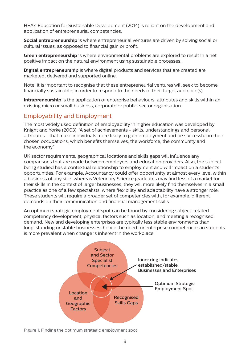HEA's Education for Sustainable Development (2014) is reliant on the development and application of entrepreneurial competencies.

**Social entrepreneurship** is where entrepreneurial ventures are driven by solving social or cultural issues, as opposed to financial gain or profit.

**Green entrepreneurship** is where environmental problems are explored to result in a net positive impact on the natural environment using sustainable processes.

**Digital entrepreneurship** is where digital products and services that are created are marketed, delivered and supported online.

Note: it is important to recognise that these entrepreneurial ventures will seek to become financially sustainable, in order to respond to the needs of their target audience(s).

**Intrapreneurship** is the application of enterprise behaviours, attributes and skills within an existing micro or small business, corporate or public-sector organisation.

# Employability and Employment

The most widely used definition of employability in higher education was developed by Knight and Yorke (2003). 'A set of achievements - skills, understandings and personal attributes - that make individuals more likely to gain employment and be successful in their chosen occupations, which benefits themselves, the workforce, the community and the economy.'

UK sector requirements, geographical locations and skills gaps will influence any comparisons that are made between employers and education providers. Also, the subject being studied has a contextual relationship to employment and will impact on a student's opportunities. For example, Accountancy could offer opportunity at almost every level within a business of any size, whereas Veterinary Science graduates may find less of a market for their skills in the context of larger businesses; they will more likely find themselves in a small practice as one of a few specialists, where flexibility and adaptability have a stronger role. These students will require a broader set of competencies with, for example, different demands on their communication and financial management skills.

An optimum strategic employment spot can be found by considering subject-related competency development, physical factors such as location, and meeting a recognised demand. New and developing enterprises are typically less stable environments than long-standing or stable businesses; hence the need for enterprise competencies in students is more prevalent when change is inherent in the workplace.



Figure 1: Finding the optimum strategic employment spot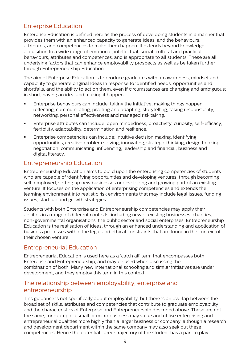# Enterprise Education

Enterprise Education is defined here as the process of developing students in a manner that provides them with an enhanced capacity to generate ideas, and the behaviours, attributes, and competencies to make them happen. It extends beyond knowledge acquisition to a wide range of emotional, intellectual, social, cultural and practical behaviours, attributes and competences, and is appropriate to all students. These are all underlying factors that can enhance employability prospects as well as be taken further through Entrepreneurship Education.

The aim of Enterprise Education is to produce graduates with an awareness, mindset and capability to generate original ideas in response to identified needs, opportunities and shortfalls, and the ability to act on them, even if circumstances are changing and ambiguous; in short, having an idea and making it happen.

- **Enterprise behaviours can include: taking the initiative, making things happen,** reflecting, communicating, pivoting and adapting, storytelling, taking responsibility, networking, personal effectiveness and managed risk taking.
- **E** Enterprise attributes can include: open mindedness, proactivity, curiosity, self-efficacy, flexibility, adaptability, determination and resilience.
- **Enterprise competencies can include: intuitive decision making, identifying** opportunities, creative problem solving, innovating, strategic thinking, design thinking, negotiation, communicating, influencing, leadership and financial, business and digital literacy.

# Entrepreneurship Education

Entrepreneurship Education aims to build upon the enterprising competencies of students who are capable of identifying opportunities and developing ventures, through becoming self-employed, setting up new businesses or developing and growing part of an existing venture. It focuses on the application of enterprising competencies and extends the learning environment into realistic risk environments that may include legal issues, funding issues, start-up and growth strategies.

Students with both Enterprise and Entrepreneurship competencies may apply their abilities in a range of different contexts, including new or existing businesses, charities, non-governmental organisations, the public sector and social enterprises. Entrepreneurship Education is the realisation of ideas, through an enhanced understanding and application of business processes within the legal and ethical constraints that are found in the context of their chosen venture.

# Entrepreneurial Education

Entrepreneurial Education is used here as a 'catch all' term that encompasses both Enterprise and Entrepreneurship, and may be used when discussing the combination of both. Many new international schooling and similar initiatives are under development, and they employ this term in this context.

# The relationship between employability, enterprise and entrepreneurship

This guidance is not specifically about employability, but there is an overlap between the broad set of skills, attributes and competencies that contribute to graduate employability and the characteristics of Enterprise and Entrepreneurship described above. These are not the same, for example a small or micro business may value and utilise enterprising and entrepreneurial qualities more highly than a larger business or company, although a research and development department within the same company may also seek out these competencies. Hence the potential career trajectory of the student has a part to play.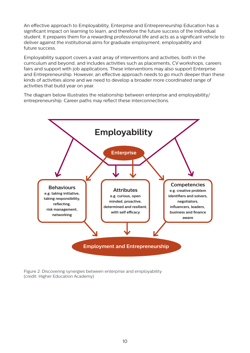An effective approach to Employability, Enterprise and Entrepreneurship Education has a significant impact on learning to learn, and therefore the future success of the individual student. It prepares them for a rewarding professional life and acts as a significant vehicle to deliver against the institutional aims for graduate employment, employability and future success.

Employability support covers a vast array of interventions and activities, both in the curriculum and beyond, and includes activities such as placements, CV workshops, careers fairs and support with job applications. These interventions may also support Enterprise and Entrepreneurship. However, an effective approach needs to go much deeper than these kinds of activities alone and we need to develop a broader more coordinated range of activities that build year on year.

The diagram below illustrates the relationship between enterprise and employability/ entrepreneurship. Career paths may reflect these interconnections.



Figure 2: Discovering synergies between enterprise and employability (credit: Higher Education Academy)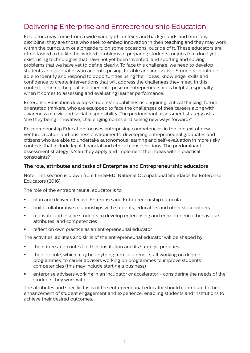# Delivering Enterprise and Entrepreneurship Education

Educators may come from a wide variety of contexts and backgrounds and from any discipline; they are those who seek to embed innovation in their teaching and they may work within the curriculum or alongside it; on some occasions, outside of it. These educators are often tasked to tackle the 'wicked' problems of preparing students for jobs that don't yet exist, using technologies that have not yet been invented, and spotting and solving problems that we have yet to define clearly. To face this challenge, we need to develop students and graduates who are enterprising, flexible and innovative. Students should be able to identify and respond to opportunities using their ideas, knowledge, skills and confidence to create interventions that will address the challenges they meet. In this context, defining the goal as either enterprise or entrepreneurship is helpful, especially when it comes to assessing and evaluating learner performance.

Enterprise Education develops students' capabilities as enquiring, critical thinking, future orientated thinkers, who are equipped to face the challenges of their careers along with awareness of civic and social responsibility. The predominant assessment strategy asks 'are they being innovative, challenging norms and seeing new ways forward?'

Entrepreneurship Education focuses enterprising competencies in the context of new venture creation and business environments, developing entrepreneurial graduates and citizens who are able to undertake autonomous learning and self-evaluation in more risky contexts that include legal, financial and ethical considerations. The predominant assessment strategy is 'can they apply and implement their ideas within practical constraints?'

#### **The role, attributes and tasks of Enterprise and Entrepreneurship educators**

Note: This section is drawn from the SFEDI National Occupational Standards for Enterprise Educators (2016).

The role of the entrepreneurial educator is to:

- § plan and deliver effective Enterprise and Entrepreneurship curricula
- § build collaborative relationships with students, educators and other stakeholders
- motivate and inspire students to develop enterprising and entrepreneurial behaviours attributes, and competencies
- **•** reflect on own practice as an entrepreneurial educator.

The activities, abilities and skills of the entrepreneurial educator will be shaped by:

- the nature and context of their institution and its strategic priorities
- their job role, which may be anything from academic staff working on degree programmes, to career advisers working on programmes to improve students' competencies (this may include starting a business)
- **•** enterprise advisers working in an incubator or accelerator considering the needs of the students they work with.

The attributes and specific tasks of the entrepreneurial educator should contribute to the enhancement of student engagement and experience; enabling students and institutions to achieve their desired outcomes.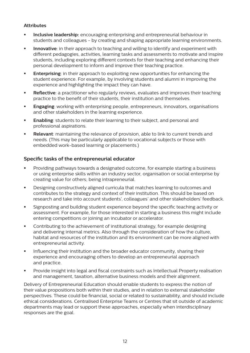#### **Attributes**

- **Inclusive leadership:** encouraging enterprising and entrepreneurial behaviour in students and colleagues - by creating and shaping appropriate learning environments.
- **Innovative**: in their approach to teaching and willing to identify and experiment with different pedagogies, activities, learning tasks and assessments to motivate and inspire students, including exploring different contexts for their teaching and enhancing their personal development to inform and improve their teaching practice.
- **Enterprising**: in their approach to exploiting new opportunities for enhancing the student experience. For example, by involving students and alumni in improving the experience and highlighting the impact they can have.
- **Reflective**: a practitioner who regularly reviews, evaluates and improves their teaching practice to the benefit of their students, their institution and themselves.
- **Engaging**: working with enterprising people, entrepreneurs, innovators, organisations and other stakeholders in the learning experience.
- **Enabling**: students to relate their learning to their subject, and personal and professional aspirations.
- **Relevant**: maintaining the relevance of provision, able to link to current trends and needs. (This may be particularly applicable to vocational subjects or those with embedded work-based learning or placements.)

#### **Specific tasks of the entrepreneurial educator**

- § Providing pathways towards a designated outcome, for example starting a business or using enterprise skills within an industry sector, organisation or social enterprise by creating value for others; being intrapreneurial.
- § Designing constructively aligned curricula that matches learning to outcomes and contributes to the strategy and context of their institution. This should be based on research and take into account students', colleagues' and other stakeholders' feedback.
- § Signposting and building student experience beyond the specific teaching activity or assessment. For example, for those interested in starting a business this might include entering competitions or joining an incubator or accelerator.
- Contributing to the achievement of institutional strategy, for example designing and delivering internal metrics. Also through the consideration of how the culture, habitat and resources of the institution and its environment can be more aligned with entrepreneurial activity.
- Influencing their institution and the broader educator community, sharing their experience and encouraging others to develop an entrepreneurial approach and practice.
- **•** Provide insight into legal and fiscal constraints such as Intellectual Property realisation and management, taxation, alternative business models and their alignment.

Delivery of Entrepreneurial Education should enable students to express the notion of their value propositions both within their studies, and in relation to external stakeholder perspectives. These could be financial, social or related to sustainability, and should include ethical considerations. Centralised Enterprise Teams or Centres that sit outside of academic departments may lead or support these approaches, especially when interdisciplinary responses are the goal.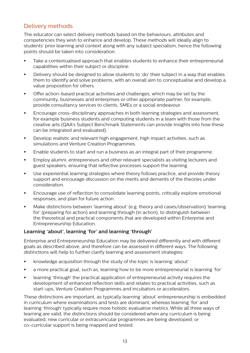# Delivery methods

The educator can select delivery methods based on the behaviours, attributes and competencies they wish to enhance and develop. These methods will ideally align to students' prior learning and context along with any subject specialism, hence the following points should be taken into consideration.

- **•** Take a contextualised approach that enables students to enhance their entrepreneurial capabilities within their subject or discipline.
- **•** Delivery should be designed to allow students to 'do' their subject in a way that enables them to identify and solve problems, with an overall aim to conceptualise and develop a value proposition for others.
- **•** Offer action-based practical activities and challenges, which may be set by the community, businesses and enterprises or other appropriate partner, for example, provide consultancy services to clients, SMEs or a social endeavour.
- **EXECUTE 2** Encourage cross-disciplinary approaches in both learning strategies and assessment, for example business students and computing students in a team with those from the creative arts (QAA's Subject Benchmark Statements can provide insights into how these can be integrated and evaluated).
- § Develop realistic and relevant high engagement, high impact activities, such as simulations and Venture Creation Programmes.
- **Enable students to start and run a business as an integral part of their programme.**
- **Employ alumni, entrepreneurs and other relevant specialists as visiting lecturers and** guest speakers, ensuring that reflective processes support the learning.
- § Use experiential learning strategies where theory follows practice, and provide theory support and encourage discussion on the merits and demerits of the theories under consideration.
- **EXEL ENCOURGER** Is Encourage use of reflection to consolidate learning points, critically explore emotional responses, and plan for future action.
- **■** Make distinctions between 'learning about' (e.g. theory and cases/observation) 'learning for' (preparing for action) and learning through (in action), to distinguish between the theoretical and practical components that are developed within Enterprise and Entrepreneurship Education.

#### **Learning 'about', learning 'for' and learning 'through'**

Enterprise and Entrepreneurship Education may be delivered differently and with different goals as described above, and therefore can be assessed in different ways. The following distinctions will help to further clarify learning and assessment strategies:

- § knowledge acquisition through the study of the topic is learning 'about'
- § a more practical goal, such as, learning how to be more entrepreneurial is learning 'for'
- learning 'through' the practical application of entrepreneurial activity requires the development of enhanced reflection skills and relates to practical activities, such as start-ups, Venture Creation Programmes and incubators or accelerators.

These distinctions are important, as typically learning 'about' entrepreneurship is embedded in curriculum where examinations and tests are dominant, whereas learning 'for' and learning 'through' typically require more holistic evaluative metrics. While all three ways of learning are valid, the distinctions should be considered when any curriculum is being evaluated, new curricular or extracurricular programmes are being developed, or co-curricular support is being mapped and tested.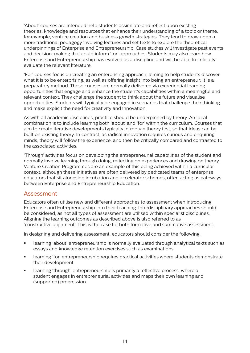'About' courses are intended help students assimilate and reflect upon existing theories, knowledge and resources that enhance their understanding of a topic or theme, for example, venture creation and business growth strategies. They tend to draw upon a more traditional pedagogy involving lectures and set texts to explore the theoretical underpinnings of Enterprise and Entrepreneurship. Case studies will investigate past events and decision-making that could inform 'for' approaches. Students may also learn how Enterprise and Entrepreneurship has evolved as a discipline and will be able to critically evaluate the relevant literature.

'For' courses focus on creating an enterprising approach, aiming to help students discover what it is to be enterprising, as well as offering insight into being an entrepreneur; it is a preparatory method. These courses are normally delivered via experiential learning opportunities that engage and enhance the student's capabilities within a meaningful and relevant context. They challenge the student to think about the future and visualise opportunities. Students will typically be engaged in scenarios that challenge their thinking and make explicit the need for creativity and innovation.

As with all academic disciplines, practice should be underpinned by theory. An ideal combination is to include learning both 'about' and 'for' within the curriculum. Courses that aim to create iterative developments typically introduce theory first, so that ideas can be built on existing theory. In contrast, as radical innovation requires curious and enquiring minds, theory will follow the experience, and then be critically compared and contrasted to the associated activities.

'Through' activities focus on developing the entrepreneurial capabilities of the student and normally involve learning through doing, reflecting on experiences and drawing on theory. Venture Creation Programmes are an example of this being achieved within a curricular context, although these initiatives are often delivered by dedicated teams of enterprise educators that sit alongside incubation and accelerator schemes, often acting as gateways between Enterprise and Entrepreneurship Education.

## Assessment

Educators often utilise new and different approaches to assessment when introducing Enterprise and Entrepreneurship into their teaching. Interdisciplinary approaches should be considered, as not all types of assessment are utilised within specialist disciplines. Aligning the learning outcomes as described above is also referred to as 'constructive alignment'. This is the case for both formative and summative assessment.

In designing and delivering assessment, educators should consider the following:

- **•** learning 'about' entrepreneurship is normally evaluated through analytical texts such as essays and knowledge retention exercises such as examinations
- **■** learning 'for' entrepreneurship requires practical activities where students demonstrate their development
- **•** learning 'through' entrepreneurship is primarily a reflective process, where a student engages in entrepreneurial activities and maps their own learning and (supported) progression.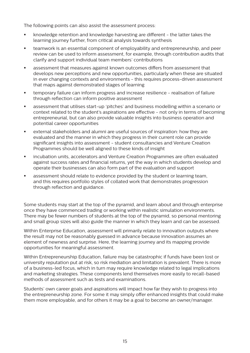The following points can also assist the assessment process:

- **knowledge retention and knowledge harvesting are different the latter takes the** learning journey further, from critical analysis towards synthesis
- **•** teamwork is an essential component of employability and entrepreneurship, and peer review can be used to inform assessment, for example, through contribution audits that clarify and support individual team members' contributions
- **•** assessment that measures against known outcomes differs from assessment that develops new perceptions and new opportunities, particularly when these are situated in ever changing contexts and environments - this requires process-driven assessment that maps against demonstrated stages of learning
- **■** temporary failure can inform progress and increase resilience realisation of failure through reflection can inform positive assessment
- **■** assessment that utilises start-up 'pitches' and business modelling within a scenario or context related to the student's aspirations are effective - not only in terms of becoming entrepreneurial, but can also provide valuable insights into business operation and potential career opportunities
- **•** external stakeholders and alumni are useful sources of inspiration: how they are evaluated and the manner in which they progress in their current role can provide significant insights into assessment - student consultancies and Venture Creation Programmes should be well aligned to these kinds of insight
- **•** incubation units, accelerators and Venture Creation Programmes are often evaluated against success rates and financial returns, yet the way in which students develop and operate their businesses can also form part of the evaluation and support
- **■** assessment should relate to evidence provided by the student or learning team, and this requires portfolio styles of collated work that demonstrates progression through reflection and guidance.

Some students may start at the top of the pyramid, and learn about and through enterprise once they have commenced trading or working within realistic simulation environments. There may be fewer numbers of students at the top of the pyramid, so personal mentoring and small group sizes will also guide the manner in which they learn and can be assessed.

Within Enterprise Education, assessment will primarily relate to innovation outputs where the result may not be reasonably guessed in advance because innovation assumes an element of newness and surprise. Here, the learning journey and its mapping provide opportunities for meaningful assessment.

Within Entrepreneurship Education, failure may be catastrophic if funds have been lost or university reputation put at risk, so risk mediation and limitation is prevalent. There is more of a business-led focus, which in turn may require knowledge related to legal implications and marketing strategies. These components lend themselves more easily to recall-based methods of assessment such as tests and examinations.

Students' own career goals and aspirations will impact how far they wish to progress into the entrepreneurship zone. For some it may simply offer enhanced insights that could make them more employable, and for others it may be a goal to become an owner/manager.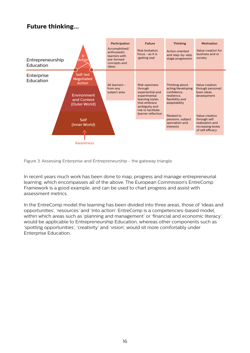# **Future thinking...**



Figure 3: Assessing Enterprise and Entrepreneurship - the gateway triangle

In recent years much work has been done to map, progress and manage entrepreneurial learning, which encompasses all of the above. The European Commission's EntreComp Framework is a good example, and can be used to chart progress and assist with assessment metrics.

In the EntreComp model the learning has been divided into three areas, those of 'ideas and opportunities', 'resources' and 'into action'. EntreComp is a competencies-based model, within which areas such as 'planning and management' or 'financial and economic literacy', would be applicable to Entrepreneurship Education, whereas other components such as 'spotting opportunities', 'creativity' and 'vision', would sit more comfortably under Enterprise Education.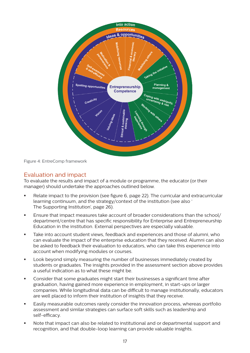

Figure 4: EntreComp framework

# Evaluation and impact

To evaluate the results and impact of a module or programme, the educator (or their manager) should undertake the approaches outlined below.

- Relate impact to the provision (see figure 6, page 22). The curricular and extracurricular learning continuum, and the strategy/context of the institution (see also ' The Supporting Institution', page 26).
- **Ensure that impact measures take account of broader considerations than the school/** department/centre that has specific responsibility for Enterprise and Entrepreneurship Education in the institution. External perspectives are especially valuable.
- **Take into account student views, feedback and experiences and those of alumni, who** can evaluate the impact of the enterprise education that they received. Alumni can also be asked to feedback their evaluation to educators, who can take this experience into account when modifying modules or courses.
- **•** Look beyond simply measuring the number of businesses immediately created by students or graduates. The insights provided in the assessment section above provides a useful indication as to what these might be.
- § Consider that some graduates might start their businesses a significant time after graduation, having gained more experience in employment, in start-ups or larger companies. While longitudinal data can be difficult to manage institutionally, educators are well placed to inform their institution of insights that they receive.
- **Easily measurable outcomes rarely consider the innovation process, whereas portfolio** assessment and similar strategies can surface soft skills such as leadership and self-efficacy.
- § Note that impact can also be related to institutional and or departmental support and recognition, and that double-loop learning can provide valuable insights.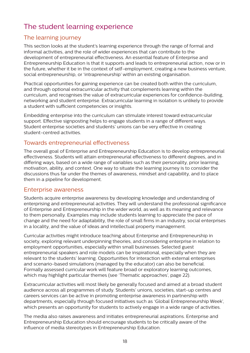# The student learning experience

# The learning journey

This section looks at the student's learning experience through the range of formal and informal activities, and the role of wider experiences that can contribute to the development of entrepreneurial effectiveness. An essential feature of Enterprise and Entrepreneurship Education is that it supports and leads to entrepreneurial action, now or in the future, whether it be in the context of self-employment, creating a new business venture, social entrepreneurship, or 'intrapreneurship' within an existing organisation.

Practical opportunities for gaining experience can be created both within the curriculum, and through optional extracurricular activity that complements learning within the curriculum, and recognises the value of extracurricular experiences for confidence-building, networking and student enterprise. Extracurricular learning in isolation is unlikely to provide a student with sufficient competencies or insights.

Embedding enterprise into the curriculum can stimulate interest toward extracurricular support. Effective signposting helps to engage students in a range of different ways. Student enterprise societies and students' unions can be very effective in creating student-centred activities.

# Towards entrepreneurial effectiveness

The overall goal of Enterprise and Entrepreneurship Education is to develop entrepreneurial effectiveness. Students will attain entrepreneurial effectiveness to different degrees, and in differing ways, based on a wide range of variables such as their personality, prior learning, motivation, ability, and context. One way to situate the learning journey is to consider the discussions thus far under the themes of awareness, mindset and capability, and to place them in a pipeline for development.

## Enterprise awareness

Students acquire enterprise awareness by developing knowledge and understanding of enterprising and entrepreneurial activities. They will understand the professional significance of Enterprise and Entrepreneurship in the wider world, as well as its meaning and relevance to them personally. Examples may include students learning to appreciate the pace of change and the need for adaptability, the role of small firms in an industry, social enterprises in a locality, and the value of ideas and intellectual property management.

Curricular activities might introduce teaching about Enterprise and Entrepreneurship in society, exploring relevant underpinning theories, and considering enterprise in relation to employment opportunities, especially within small businesses. Selected guest entrepreneurial speakers and role models can be inspirational, especially when they are relevant to the students' learning. Opportunities for interaction with external enterprises and scenario-based simulations (managed by the educator) can also be beneficial. Formally assessed curricular work will feature broad or exploratory learning outcomes, which may highlight particular themes (see 'Thematic approaches', page 22).

Extracurricular activities will most likely be generally focused and aimed at a broad student audience across all programmes of study. Students' unions, societies, start-up centres and careers services can be active in promoting enterprise awareness in partnership with departments, especially through focused initiatives such as 'Global Entrepreneurship Week', which presents an opportunity for students to actively engage in a wide range of activities.

The media also raises awareness and initiates entrepreneurial aspirations. Enterprise and Entrepreneurship Education should encourage students to be critically aware of the influence of media stereotypes in Entrepreneurship Education.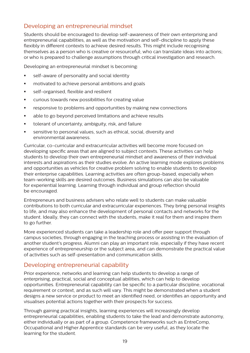# Developing an entrepreneurial mindset

Students should be encouraged to develop self-awareness of their own enterprising and entrepreneurial capabilities, as well as the motivation and self-discipline to apply these flexibly in different contexts to achieve desired results. This might include recognising themselves as a person who is creative or resourceful; who can translate ideas into actions; or who is prepared to challenge assumptions through critical investigation and research.

Developing an entrepreneurial mindset is becoming:

- **•** self-aware of personality and social identity
- **motivated to achieve personal ambitions and goals**
- **EXEC** self-organised, flexible and resilient
- **•** curious towards new possibilities for creating value
- **EXECTED FEEDER** responsive to problems and opportunities by making new connections
- able to go beyond perceived limitations and achieve results
- **•** tolerant of uncertainty, ambiguity, risk, and failure
- **EXECTE:** sensitive to personal values, such as ethical, social, diversity and environmental awareness.

Curricular, co-curricular and extracurricular activities will become more focused on developing specific areas that are aligned to subject contexts. These activities can help students to develop their own entrepreneurial mindset and awareness of their individual interests and aspirations as their studies evolve. An active learning mode explores problems and opportunities as vehicles for creative problem solving to enable students to develop their enterprise capabilities. Learning activities are often group-based, especially when team-working skills are desired outcomes. Business simulations can also be valuable for experiential learning. Learning through individual and group reflection should be encouraged.

Entrepreneurs and business advisers who relate well to students can make valuable contributions to both curricular and extracurricular experiences. They bring personal insights to life, and may also enhance the development of personal contacts and networks for the student. Ideally, they can connect with the students, make it real for them and inspire them to go further.

More experienced students can take a leadership role and offer peer support through campus societies, through engaging in the teaching process or assisting in the evaluation of another student's progress. Alumni can play an important role, especially if they have recent experience of entrepreneurship or the subject area, and can demonstrate the practical value of activities such as self-presentation and communication skills.

## Developing entrepreneurial capability

Prior experience, networks and learning can help students to develop a range of enterprising, practical, social and conceptual abilities, which can help to develop opportunities. Entrepreneurial capability can be specific to a particular discipline, vocational requirement or context, and as such will vary. This might be demonstrated when a student designs a new service or product to meet an identified need, or identifies an opportunity and visualises potential actions together with their prospects for success.

Through gaining practical insights, learning experiences will increasingly develop entrepreneurial capabilities, enabling students to take the lead and demonstrate autonomy, either individually or as part of a group. Competence frameworks such as EntreComp, Occupational and Higher Apprentice standards can be very useful, as they locate the learning for the student.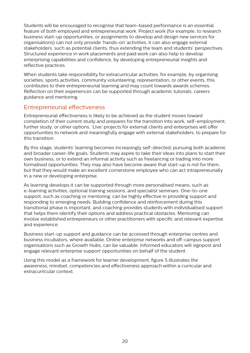Students will be encouraged to recognise that team-based performance is an essential feature of both employed and entrepreneurial work. Project work (for example, to research business start-up opportunities, or assignments to develop and design new services for organisations) can not only provide 'hands-on' activities, it can also engage external stakeholders, such as potential clients, thus extending the team and students' perspectives. Structured experience in work placements and paid work can also help to develop enterprising capabilities and confidence, by developing entrepreneurial insights and reflective practices.

When students take responsibility for extracurricular activities, for example, by organising societies, sports activities, community volunteering, representation, or other events, this contributes to their entrepreneurial learning and may count towards awards schemes. Reflection on their experiences can be supported through academic tutorials, careers guidance and mentoring.

# Entrepreneurial effectiveness

Entrepreneurial effectiveness is likely to be achieved as the student moves toward completion of their current study and prepares for the transition into work, self-employment, further study, or other options. 'Live' projects for external clients and enterprises will offer opportunities to network and meaningfully engage with external stakeholders, to prepare for this transition.

By this stage, students' learning becomes increasingly self-directed, pursuing both academic and broader career-life goals. Students may aspire to take their ideas into plans to start their own business, or to extend an informal activity such as freelancing or trading into more formalised opportunities. They may also have become aware that start-up is not for them, but that they would make an excellent cornerstone employee who can act intrapreneurially in a new or developing enterprise.

As learning develops it can be supported through more personalised means, such as e-learning activities, optional training sessions, and specialist seminars. One-to-one support, such as coaching or mentoring, can be highly effective in providing support and responding to emerging needs. Building confidence and reinforcement during this transitional phase is important, and coaching provides students with individualised support that helps them identify their options and address practical obstacles. Mentoring can involve established entrepreneurs or other practitioners with specific and relevant expertise and experience.

Business start-up support and guidance can be accessed through enterprise centres and business incubators, where available. Online enterprise networks and off-campus support organisations such as Growth Hubs, can be valuable. Informed educators will signpost and engage relevant enterprise support opportunities on behalf of the student.

Using this model as a framework for learner development, figure 5 illustrates the awareness, mindset, competencies and effectiveness approach within a curricular and extracurricular context.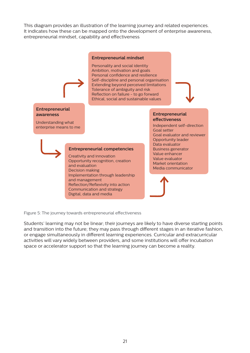This diagram provides an illustration of the learning journey and related experiences. It indicates how these can be mapped onto the development of enterprise awareness, entrepreneurial mindset, capability and effectiveness



Figure 5: The journey towards entrepreneurial effectiveness

Students' learning may not be linear; their journeys are likely to have diverse starting points and transition into the future; they may pass through different stages in an iterative fashion, or engage simultaneously in different learning experiences. Curricular and extracurricular activities will vary widely between providers, and some institutions will offer incubation space or accelerator support so that the learning journey can become a reality.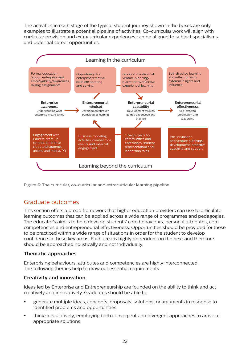The activities in each stage of the typical student journey shown in the boxes are only examples to illustrate a potential pipeline of activities. Co-curricular work will align with curricular provision and extracurricular experiences can be aligned to subject specialisms and potential career opportunities.



Figure 6: The curricular, co-curricular and extracurricular learning pipeline

# Graduate outcomes

This section offers a broad framework that higher education providers can use to articulate learning outcomes that can be applied across a wide range of programmes and pedagogies. The educator's aim is to help develop students' core behaviours, personal attributes, core competencies and entrepreneurial effectiveness. Opportunities should be provided for these to be practiced within a wide range of situations in order for the student to develop confidence in these key areas. Each area is highly dependent on the next and therefore should be approached holistically and not individually.

## **Thematic approaches**

Enterprising behaviours, attributes and competencies are highly interconnected. The following themes help to draw out essential requirements.

## **Creativity and innovation**

Ideas led by Enterprise and Entrepreneurship are founded on the ability to think and act creatively and innovatively. Graduates should be able to:

- § generate multiple ideas, concepts, proposals, solutions, or arguments in response to identified problems and opportunities
- § think speculatively, employing both convergent and divergent approaches to arrive at appropriate solutions.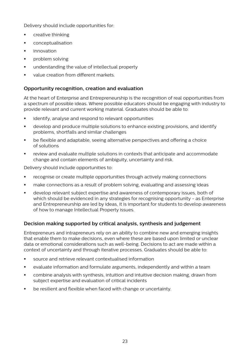Delivery should include opportunities for:

- **•** creative thinking
- **•** conceptualisation
- **■** innovation
- § problem solving
- **■** understanding the value of intellectual property
- **value creation from different markets.**

#### **Opportunity recognition, creation and evaluation**

At the heart of Enterprise and Entrepreneurship is the recognition of real opportunities from a spectrum of possible ideas. Where possible educators should be engaging with industry to provide relevant and current working material. Graduates should be able to:

- **EXECT:** identify, analyse and respond to relevant opportunities
- **•** develop and produce multiple solutions to enhance existing provisions, and identify problems, shortfalls and similar challenges
- § be flexible and adaptable, seeing alternative perspectives and offering a choice of solutions
- **•** review and evaluate multiple solutions in contexts that anticipate and accommodate change and contain elements of ambiguity, uncertainty and risk.

Delivery should include opportunities to:

- **•** recognise or create multiple opportunities through actively making connections
- **■** make connections as a result of problem solving, evaluating and assessing ideas
- **•** develop relevant subject expertise and awareness of contemporary issues, both of which should be evidenced in any strategies for recognising opportunity - as Enterprise and Entrepreneurship are led by ideas, it is important for students to develop awareness of how to manage Intellectual Property issues.

#### **Decision making supported by critical analysis, synthesis and judgement**

Entrepreneurs and intrapreneurs rely on an ability to combine new and emerging insights that enable them to make decisions, even where these are based upon limited or unclear data or emotional considerations such as well-being. Decisions to act are made within a context of uncertainty and through iterative processes. Graduates should be able to:

- § source and retrieve relevant contextualised information
- evaluate information and formulate arguments, independently and within a team
- **Combine analysis with synthesis, intuition and intuitive decision making, drawn from** subject expertise and evaluation of critical incidents
- **•** be resilient and flexible when faced with change or uncertainty.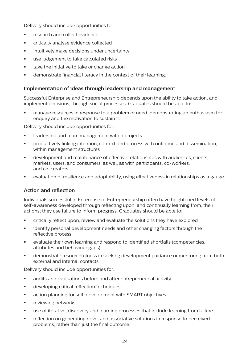Delivery should include opportunities to:

- **EXECUTE:** research and collect evidence
- **•** critically analyse evidence collected
- **EXEDENT** intuitively make decisions under uncertainty
- use judgement to take calculated risks
- **•** take the initiative to take or change action
- **•** demonstrate financial literacy in the context of their learning.

#### **Implementation of ideas through leadership and managemen**t

Successful Enterprise and Entrepreneurship depends upon the ability to take action, and implement decisions, through social processes. Graduates should be able to:

■ manage resources in response to a problem or need, demonstrating an enthusiasm for enquiry and the motivation to sustain it.

Delivery should include opportunities for:

- **■** leadership and team management within projects
- **•** productively linking intention, context and process with outcome and dissemination, within management structures
- **•** development and maintenance of effective relationships with audiences, clients, markets, users, and consumers, as well as with participants, co-workers, and co-creators
- evaluation of resilience and adaptability, using effectiveness in relationships as a gauge.

## **Action and reflection**

Individuals successful in Enterprise or Entrepreneurship often have heightened levels of self-awareness developed through reflecting upon, and continually learning from, their actions; they use failure to inform progress. Graduates should be able to:

- § critically reflect upon, review and evaluate the solutions they have explored
- identify personal development needs and other changing factors through the reflective process
- evaluate their own learning and respond to identified shortfalls (competencies, attributes and behaviour gaps)
- **•** demonstrate resourcefulness in seeking development guidance or mentoring from both external and internal contacts.

Delivery should include opportunities for:

- **EXECT** audits and evaluations before and after entrepreneurial activity
- **■** developing critical reflection techniques
- **EXECT** action planning for self-development with SMART objectives
- **•** reviewing networks
- **•** use of iterative, discovery and learning processes that include learning from failure
- **•** reflection on generating novel and associative solutions in response to perceived problems, rather than just the final outcome.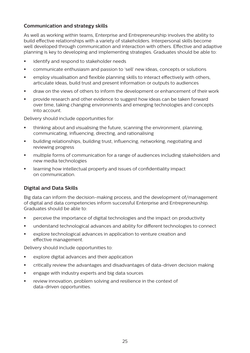#### **Communication and strategy skills**

As well as working within teams, Enterprise and Entrepreneurship involves the ability to build effective relationships with a variety of stakeholders. Interpersonal skills become well developed through communication and interaction with others. Effective and adaptive planning is key to developing and implementing strategies. Graduates should be able to:

- **•** identify and respond to stakeholder needs
- **•** communicate enthusiasm and passion to 'sell' new ideas, concepts or solutions
- **employ visualisation and flexible planning skills to interact effectively with others.** articulate ideas, build trust and present information or outputs to audiences
- § draw on the views of others to inform the development or enhancement of their work
- § provide research and other evidence to suggest how ideas can be taken forward over time, taking changing environments and emerging technologies and concepts into account.

Delivery should include opportunities for:

- thinking about and visualising the future, scanning the environment, planning, communicating, influencing, directing, and rationalising
- § building relationships, building trust, influencing, networking, negotiating and reviewing progress
- **•** multiple forms of communication for a range of audiences including stakeholders and new media technologies
- **EXEDENT** learning how intellectual property and issues of confidentiality impact on communication.

## **Digital and Data Skills**

Big data can inform the decision-making process, and the development of/management of digital and data competencies inform successful Enterprise and Entrepreneurship. Graduates should be able to:

- **•** perceive the importance of digital technologies and the impact on productivity
- understand technological advances and ability for different technologies to connect
- § explore technological advances in application to venture creation and effective management.

Delivery should include opportunities to:

- explore digital advances and their application
- § critically review the advantages and disadvantages of data-driven decision making
- **EXEC** engage with industry experts and big data sources
- **•** review innovation, problem solving and resilience in the context of data-driven opportunities.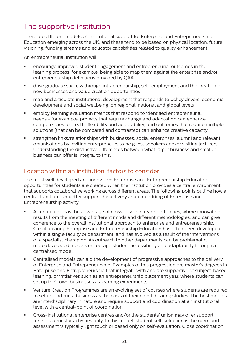# The supportive institution

There are different models of institutional support for Enterprise and Entrepreneurship Education emerging across the UK, and these tend to be based on physical location, future visioning, funding streams and educator capabilities related to quality enhancement.

An entrepreneurial institution will:

- **encourage improved student engagement and entrepreneurial outcomes in the** learning process, for example, being able to map them against the enterprise and/or entrepreneurship definitions provided by QAA
- § drive graduate success through intrapreneurship, self-employment and the creation of new businesses and value creation opportunities
- map and articulate institutional development that responds to policy drivers, economic development and social wellbeing, on regional, national and global levels
- **•** employ learning evaluation metrics that respond to identified entrepreneurial needs - for example, projects that require change and adaptation can enhance competencies related to flexibility and adaptability, and outcomes that require multiple solutions (that can be compared and contrasted) can enhance creative capacity
- **•** strengthen links/relationships with businesses, social enterprises, alumni and relevant organisations by inviting entrepreneurs to be guest speakers and/or visiting lecturers. Understanding the distinctive differences between what larger business and smaller business can offer is integral to this.

# Location within an institution: factors to consider

The most well developed and innovative Enterprise and Entrepreneurship Education opportunities for students are created when the institution provides a central environment that supports collaborative working across different areas. The following points outline how a central function can better support the delivery and embedding of Enterprise and Entrepreneurship activity.

- § A central unit has the advantage of cross-disciplinary opportunities, where innovation results from the meeting of different minds and different methodologies, and can give coherence to the overall institutional approach to enterprise and entrepreneurship. Credit-bearing Enterprise and Entrepreneurship Education has often been developed within a single faculty or department, and has evolved as a result of the interventions of a specialist champion. As outreach to other departments can be problematic, more developed models encourage student accessibility and adaptability through a centralised model.
- Centralised models can aid the development of progressive approaches to the delivery of Enterprise and Entrepreneurship. Examples of this progression are master's degrees in Enterprise and Entrepreneurship that integrate with and are supportive of subject-based learning; or initiatives such as an entrepreneurship placement year, where students can set up their own businesses as learning experiments.
- **Venture Creation Programmes are an evolving set of courses where students are required** to set up and run a business as the basis of their credit-bearing studies. The best models are interdisciplinary in nature and require support and coordination at an institutional level with a central-point of coordination.
- § Cross-institutional enterprise centres and/or the students' union may offer support for extracurricular activities only. In this model, student self-selection is the norm and assessment is typically light touch or based only on self-evaluation. Close coordination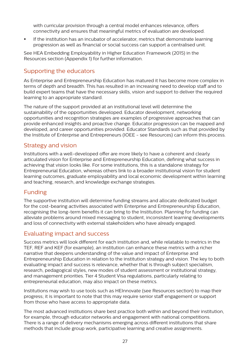with curricular provision through a central model enhances relevance, offers connectivity and ensures that meaningful metrics of evaluation are developed.

**•** If the institution has an incubator of accelerator, metrics that demonstrate learning progression as well as financial or social success can support a centralised unit.

See HEA Embedding Employability in Higher Education Framework (2015) in the Resources section (Appendix 1) for further information.

# Supporting the educators

As Enterprise and Entrepreneurship Education has matured it has become more complex in terms of depth and breadth. This has resulted in an increasing need to develop staff and to build expert teams that have the necessary skills, vision and support to deliver the required learning to an appropriate standard.

The nature of the support provided at an institutional level will determine the sustainability of the opportunities developed. Educator development, networking opportunities and recognition strategies are examples of progressive approaches that can provide enhanced insights and proactive change. Educator progression can be mapped and developed, and career opportunities provided. Educator Standards such as that provided by the Institute of Enterprise and Entrepreneurs (IOEE - see Resources) can inform this process.

## Strategy and vision

Institutions with a well-developed offer are more likely to have a coherent and clearly articulated vision for Enterprise and Entrepreneurship Education, defining what success in achieving that vision looks like. For some institutions, this is a standalone strategy for Entrepreneurial Education, whereas others link to a broader institutional vision for student learning outcomes, graduate employability and local economic development within learning and teaching, research, and knowledge exchange strategies.

# Funding

The supportive institution will determine funding streams and allocate dedicated budget for the cost-bearing activities associated with Enterprise and Entrepreneurship Education, recognising the long-term benefits it can bring to the Institution. Planning for funding can alleviate problems around mixed messaging to student, inconsistent learning developments and loss of connectivity with external stakeholders who have already engaged.

## Evaluating impact and success

Success metrics will look different for each institution and, while relatable to metrics in the TEF, REF and KEF (for example), an institution can enhance these metrics with a richer narrative that deepens understanding of the value and impact of Enterprise and Entrepreneurship Education in relation to the institution strategy and vision. The key to both evaluating impact and success is relevance, whether that is through subject specialism, research, pedagogical styles, new modes of student assessment or institutional strategy, and management priorities. Tier 4 Student Visa regulations, particularly relating to entrepreneurial education, may also impact on these metrics.

Institutions may wish to use tools such as HEInnovate (see Resources section) to map their progress; it is important to note that this may require senior staff engagement or support from those who have access to appropriate data.

The most advanced institutions share best practice both within and beyond their institution, for example, through educator networks and engagement with national competitions. There is a range of delivery mechanisms emerging across different institutions that share methods that include group work, participative learning and creative assignments.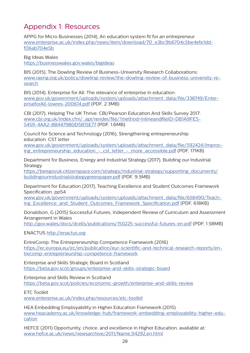# Appendix 1: Resources

APPG for Micro Businesses (2014), An education system fit for an entrepreneur [www.enterprise.ac.uk/index.php/news/item/download/70\\_e3bc9b6704c5be4efe1dd](http://www.enterprise.ac.uk/index.php/news/item/download/70_e3bc9b6704c5be4efe1ddf06ab704e5b)[f06ab704e5b](http://www.enterprise.ac.uk/index.php/news/item/download/70_e3bc9b6704c5be4efe1ddf06ab704e5b)

Big Ideas Wales [https://businesswales.gov.wales/bigideas](https://businesswales.gov.wales/bigideas/)

BIS (2015), The Dowling Review of Business-University Research Collaborations: [www.raeng.org.uk/policy/dowling-review/the-dowling-review-of-business-university-re](https://www.raeng.org.uk/policy/dowling-review/the-dowling-review-of-business-university-research)[search](https://www.raeng.org.uk/policy/dowling-review/the-dowling-review-of-business-university-research)

BIS (2014), Enterprise for All: The relevance of enterprise in education: [www.gov.uk/government/uploads/system/uploads/attachment\\_data/file/338749/Enter](http://www.gov.uk/government/uploads/system/uploads/attachment_data/file/338749/EnterpriseforAll-lowres-200614.pdf)[priseforAll-lowres-200614.pdf](http://www.gov.uk/government/uploads/system/uploads/attachment_data/file/338749/EnterpriseforAll-lowres-200614.pdf) (PDF, 2.3MB)

CBI (2017), Helping The UK Thrive: CBI/Pearson Education And Skills Survey 2017: [www.cbi.org.uk/index.cfm/\\_api/render/file/?method=inlineandfileID=DB1A9FE5-](http://www.cbi.org.uk/index.cfm/_api/render/file/?method=inline&fileID=DB1A9FE5-5459-4AA2-8B44798DD5B15E77) [5459-4AA2-8B44798DD5B15E77](http://www.cbi.org.uk/index.cfm/_api/render/file/?method=inline&fileID=DB1A9FE5-5459-4AA2-8B44798DD5B15E77) (PDF, 1.6MB)

Council for Science and Technology (2016), Strengthening entrepreneurship education: CST letter

[www.gov.uk/government/uploads/system/uploads/attachment\\_data/file/592424/Improv](http://www.gov.uk/government/uploads/system/uploads/attachment_data/file/592424/Improving_entrepreneurship_education_-_cst_letter_-_more_accessible.pdf)ing\_entrepreneurship\_education - cst\_letter - more\_accessible.pdf (PDF, 171KB)

Department for Business, Energy and Industrial Strategy (2017), Building our Industrial Strategy

[https://beisgovuk.citizenspace.com/strategy/industrial-strategy/supporting\\_documents/](https://beisgovuk.citizenspace.com/strategy/industrial-strategy/supporting_documents/buildingourindustrialstrategygreenpaper.pdf) [buildingourindustrialstrategygreenpaper.pdf](https://beisgovuk.citizenspace.com/strategy/industrial-strategy/supporting_documents/buildingourindustrialstrategygreenpaper.pdf) (PDF, 9.5MB)

Department for Education (2017), Teaching Excellence and Student Outcomes Framework Specification, pp54

[www.gov.uk/government/uploads/system/uploads/attachment\\_data/file/658490/Teach](http://www.gov.uk/government/uploads/system/uploads/attachment_data/file/658490/Teaching_Excellence_and_Student_Outcomes_Framework_Specification.pdf)[ing\\_Excellence\\_and\\_Student\\_Outcomes\\_Framework\\_Specification.pdf](http://www.gov.uk/government/uploads/system/uploads/attachment_data/file/658490/Teaching_Excellence_and_Student_Outcomes_Framework_Specification.pdf) (PDF, 618KB)

Donaldson, G (2015) Successful Futures; Independent Review of Curriculum and Assessment Arrangement in Wales

<http://gov.wales/docs/dcells/publications/150225-successful-futures-en.pdf> (PDF, 1.58MB)

ENACTUS [http://enactus.org](http://enactus.org/)

EntreComp: The Entrepreneurship Competence Framework (2016) [https://ec.europa.eu/jrc/en/publication/eur-scientific-and-technical-research-reports/en](https://ec.europa.eu/jrc/en/publication/eur-scientific-and-technical-research-reports/entrecomp-entrepreneurship-competence-framework)[trecomp-entrepreneurship-competence-framework](https://ec.europa.eu/jrc/en/publication/eur-scientific-and-technical-research-reports/entrecomp-entrepreneurship-competence-framework)

Enterprise and Skills Strategic Board in Scotland [https://beta.gov.scot/groups/enterprise-and-skills-strategic-board](https://beta.gov.scot/groups/enterprise-and-skills-strategic-board/)

Enterprise and Skills Review in Scotland [https://beta.gov.scot/policies/economic-growth/enterprise-and-skills-review](https://beta.gov.scot/policies/economic-growth/enterprise-and-skills-review/)

ETC Toolkit

[www.enterprise.ac.uk/index.php/resources/etc-toolkit](http://www.enterprise.ac.uk/index.php/resources/etc-toolkit)

HEA Embedding Employability in Higher Education Framework (2015) [www.heacademy.ac.uk/knowledge-hub/framework-embedding-employability-higher-edu](http://www.heacademy.ac.uk/knowledge-hub/framework-embedding-employability-higher-education)[cation](http://www.heacademy.ac.uk/knowledge-hub/framework-embedding-employability-higher-education)

HEFCE (2011) Opportunity, choice, and excellence in Higher Education, available at: [www.hefce.ac.uk/news/newsarchive/2011/Name,94292,en.htm](http://www.hefce.ac.uk/news/newsarchive/2011/Name,94292,en.html)l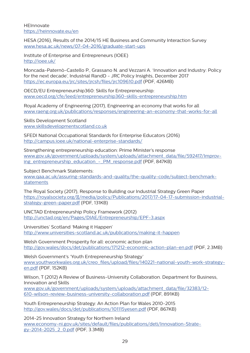**HEInnovate** <https://heinnovate.eu/en>

HESA (2016), Results of the 2014/15 HE Business and Community Interaction Survey [www.hesa.ac.uk/news/07-04-2016/graduate-start-ups](http://www.hesa.ac.uk/news/07-04-2016/graduate-start-ups)

Institute of Enterprise and Entrepreneurs (IOEE) <http://ioee.uk/>

Moncada-Paternò-Castello P., Grassano N. and Vezzani A. 'Innovation and Industry: Policy for the next decade', Industrial RandD - JRC Policy Insights, December 2017 <https://ec.europa.eu/jrc/sites/jrcsh/files/jrc109610.pdf> (PDF, 426MB)

OECD/EU Entrepreneurship360: Skills for Entrepreneurship: [www.oecd.org/cfe/leed/entrepreneurship360-skills-entrepreneurship.htm](http://www.oecd.org/cfe/leed/entrepreneurship360-skills-entrepreneurship.htm)

Royal Academy of Engineering (2017), Engineering an economy that works for all [www.raeng.org.uk/publications/responses/engineering-an-economy-that-works-for-all](http://www.raeng.org.uk/publications/responses/engineering-an-economy-that-works-for-all)

Skills Development Scotland [www.skillsdevelopmentscotland.co.uk](http://www.skillsdevelopmentscotland.co.uk)

SFEDI National Occupational Standards for Enterprise Educators (2016) <http://campus.ioee.uk/national-enterprise-standards/>

Strengthening entrepreneurship education: Prime Minister's response [www.gov.uk/government/uploads/system/uploads/attachment\\_data/file/592417/Improv](http://www.gov.uk/government/uploads/system/uploads/attachment_data/file/592417/Improving_entrepreneurship_education_-_PM_response.pdf)ing\_entrepreneurship\_education -\_PM\_response.pdf (PDF, 847KB)

Subject Benchmark Statements:

[www.qaa.ac.uk/assuring-standards-and-quality/the-quality-code/subject-benchmark](http://www.qaa.ac.uk/assuring-standards-and-quality/the-quality-code/subject-benchmark-statements)[statements](http://www.qaa.ac.uk/assuring-standards-and-quality/the-quality-code/subject-benchmark-statements)

The Royal Society (2017), Response to Building our Industrial Strategy Green Paper [https://royalsociety.org/~/media/policy/Publications/2017/17-04-17-submission-industrial](https://royalsociety.org/~/media/policy/Publications/2017/17-04-17-submission-industrial-strategy-green-paper.pdf)[strategy-green-paper.pdf](https://royalsociety.org/~/media/policy/Publications/2017/17-04-17-submission-industrial-strategy-green-paper.pdf) (PDF, 131KB)

UNCTAD Entrepreneurship Policy Framework (2012) <http://unctad.org/en/Pages/DIAE/Entrepreneurship/EPF-3.aspx>

Universities' Scotland 'Making it Happen' [http://www.universities-scotland.ac.uk/publications/making-it-happen](http://www.universities-scotland.ac.uk/publications/making-it-happen/)

Welsh Government Prosperity for all: economic action plan <http://gov.wales/docs/det/publications/171212-economic-action-plan-en.pdf> (PDF, 2.3MB)

Welsh Government's 'Youth Entrepreneurship Strategy' [www.youthworkwales.org.uk/creo\\_files/upload/files/140221-national-youth-work-strategy](http://www.youthworkwales.org.uk/creo_files/upload/files/140221-national-youth-work-strategy-en.pdf)[en.pdf](http://www.youthworkwales.org.uk/creo_files/upload/files/140221-national-youth-work-strategy-en.pdf) (PDF, 152KB)

Wilson, T (2012) A Review of Business-University Collaboration. Department for Business, Innovation and Skills

[www.gov.uk/government/uploads/system/uploads/attachment\\_data/file/32383/12-](http://www.gov.uk/government/uploads/system/uploads/attachment_data/file/32383/12-610-wilson-review-business-university-collaboration.pdf) [610-wilson-review-business-university-collaboration.pdf](http://www.gov.uk/government/uploads/system/uploads/attachment_data/file/32383/12-610-wilson-review-business-university-collaboration.pdf) (PDF, 891KB)

Youth Entrepreneurship Strategy: An Action Plan for Wales 2010-2015 <http://gov.wales/docs/det/publications/101115yesen.pdf>(PDF, 867KB)

2014-25 Innovation Strategy for Northern Ireland [www.economy-ni.gov.uk/sites/default/files/publications/deti/Innovation-Strate](http://www.economy-ni.gov.uk/sites/default/files/publications/deti/Innovation-Strategy-2014-2025_2_0.pdf)[gy-2014-2025\\_2\\_0.pdf](http://www.economy-ni.gov.uk/sites/default/files/publications/deti/Innovation-Strategy-2014-2025_2_0.pdf) (PDF, 3.3MB)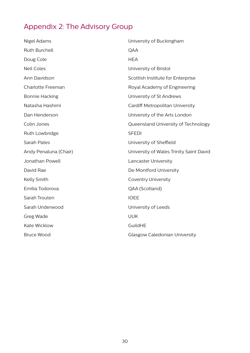# Appendix 2: The Advisory Group

| Nigel Adams              | University of Buckingham                |
|--------------------------|-----------------------------------------|
| <b>Ruth Burchell</b>     | QAA                                     |
| Doug Cole                | <b>HEA</b>                              |
| <b>Neil Coles</b>        | University of Bristol                   |
| Ann Davidson             | Scottish Institute for Enterprise       |
| <b>Charlotte Freeman</b> | Royal Academy of Engineering            |
| <b>Bonnie Hacking</b>    | University of St Andrews                |
| Natasha Hashimi          | Cardiff Metropolitan University         |
| Dan Henderson            | University of the Arts London           |
| Colin Jones              | Queensland University of Technology     |
| Ruth Lowbridge           | <b>SFEDI</b>                            |
| <b>Sarah Pates</b>       | University of Sheffield                 |
| Andy Penaluna (Chair)    | University of Wales Trinity Saint David |
| Jonathan Powell          | <b>Lancaster University</b>             |
| David Rae                | De Montford University                  |
| Kelly Smith              | <b>Coventry University</b>              |
| Emilia Todorova          | QAA (Scotland)                          |
| Sarah Trouten            | <b>IOEE</b>                             |
| Sarah Underwood          | University of Leeds                     |
| Greg Wade                | <b>UUK</b>                              |
| <b>Kate Wicklow</b>      | GuildHE                                 |
| <b>Bruce Wood</b>        | <b>Glasgow Caledonian University</b>    |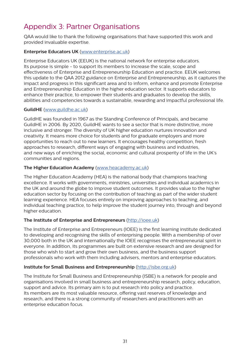# Appendix 3: Partner Organisations

QAA would like to thank the following organisations that have supported this work and provided invaluable expertise.

#### **Enterprise Educators UK** [\(www.enterprise.ac.uk\)](http://www.enterprise.ac.uk)

Enterprise Educators UK (EEUK) is the national network for enterprise educators. Its purpose is simple - to support its members to increase the scale, scope and effectiveness of Enterprise and Entrepreneurship Education and practice. EEUK welcomes this update to the QAA 2012 guidance on Enterprise and Entrepreneurship, as it captures the impact and progress in this significant area and to inform, enhance and promote Enterprise and Entrepreneurship Education in the higher education sector. It supports educators to enhance their practice, to empower their students and graduates to develop the skills, abilities and competencies towards a sustainable, rewarding and impactful professional life.

#### **GuildHE** [\(www.guildhe.ac.uk](http://www.guildhe.ac.uk))

GuildHE was founded in 1967 as the Standing Conference of Principals, and became GuildHE in 2006. By 2020, GuildHE wants to see a sector that is more distinctive, more inclusive and stronger. The diversity of UK higher education nurtures innovation and creativity. It means more choice for students and for graduate employers and more opportunities to reach out to new learners. It encourages healthy competition, fresh approaches to research, different ways of engaging with business and industries, and new ways of enriching the social, economic and cultural prosperity of life in the UK's communities and regions.

#### **The Higher Education Academy** ([www.heacademy.ac.uk](http://www.heacademy.ac.uk))

The Higher Education Academy (HEA) is the national body that champions teaching excellence. It works with governments, ministries, universities and individual academics in the UK and around the globe to improve student outcomes. It provides value to the higher education sector by focusing on the contribution of teaching as part of the wider student learning experience. HEA focuses entirely on improving approaches to teaching, and individual teaching practice, to help improve the student journey into, through and beyond higher education.

#### **The Institute of Enterprise and Entrepreneurs** (<http://ioee.uk>)

The Institute of Enterprise and Entrepreneurs (IOEE) is the first learning institute dedicated to developing and recognising the skills of enterprising people. With a membership of over 30,000 both in the UK and internationally the IOEE recognises the entrepreneurial spirit in everyone. In addition, its programmes are built on extensive research and are designed for those who wish to start and grow their own business, and the business support professionals who work with them including advisers, mentors and enterprise educators.

#### **Institute for Small Business and Entrepreneurship** [\(http://isbe.org.uk\)](http://isbe.org.uk)

The Institute for Small Business and Entrepreneurship (ISBE) is a network for people and organisations involved in small business and entrepreneurship research, policy, education, support and advice. Its primary aim is to put research into policy and practice. Its members are its most valuable resource, offering vast reserves of knowledge and research, and there is a strong community of researchers and practitioners with an enterprise education focus.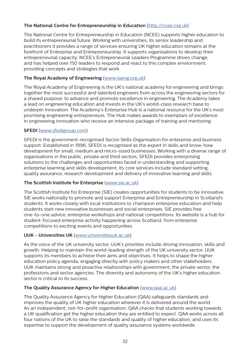#### **The National Centre for Entrepreneurship in Education** ([http://ncee.org.uk\)](http://ncee.org.uk)

The National Centre for Entrepreneurship in Education (NCEE) supports higher education to build its entrepreneurial future. Working with universities, its senior leadership and practitioners it provides a range of services ensuring UK higher education remains at the forefront of Enterprise and Entrepreneurship. It supports organisations to develop their entrepreneurial capacity. NCEE's Entrepreneurial Leaders Programme drives change, and has helped over 150 leaders to respond and react to this complex environment, providing concepts and strategies that work.

#### **The Royal Academy of Engineering** [\(www.raeng.org.uk](http://www.raeng.org.uk))

The Royal Academy of Engineering is the UK's national academy for engineering and brings together the most successful and talented engineers from across the engineering sectors for a shared purpose: to advance and promote excellence in engineering. The Academy takes a lead on engineering education and invests in the UK's world-class research base to underpin innovation. The Academy's Enterprise Hub is a national resource for the UK's most promising engineering entrepreneurs. The Hub makes awards to exemplars of excellence in engineering innovation who receive an intensive package of training and mentoring.

#### **SFEDI** ([www.sfedigroup.com](http://www.sfedigroup.com))

SFEDI is the government-recognised Sector Skills Organisation for enterprise and business support. Established in 1996, SFEDI is recognised as the expert in skills and know-how development for small, medium and micro-sized businesses. Working with a diverse range of organisations in the public, private and third sectors, SFEDI provides enterprising solutions to the challenges and opportunities faced in understanding and supporting enterprise learning and skills development. Its core services include standard setting, quality assurance, research development and delivery of innovative learning and skills.

#### **The Scottish Institute for Enterprise** [\(www.sie.ac.uk](http://www.sie.ac.uk))

The Scottish Institute for Enterprise (SIE) creates opportunities for students to be innovative. SIE works nationally to promote and support Enterprise and Entrepreneurship in Scotland's students. It works closely with local institutions to champion enterprise education and help students start new innovative businesses and social enterprises. SIE provides free one-to-one advice, enterprise workshops and national competitions. Its website is a hub for student-focused enterprise activity happening across Scotland, from enterprise competitions to exciting events and opportunities.

#### **UUK - Universities UK** [\(www.universitiesuk.ac.uk](http://www.universitiesuk.ac.uk))

As the voice of the UK university sector, UUK's priorities include driving innovation, skills and growth. Helping to maintain the world-leading strength of the UK university sector, UUK supports its members to achieve their aims and objectives. It helps to shape the higher education policy agenda, engaging directly with policy makers and other stakeholders. UUK maintains strong and proactive relationships with government, the private sector, the professions and sector agencies. The diversity and autonomy of the UK's higher education sector is critical to its success.

#### **The Quality Assurance Agency for Higher Education** ([www.qaa.ac.uk](http://www.qaa.ac.uk))

The Quality Assurance Agency for Higher Education (QAA) safeguards standards and improves the quality of UK higher education wherever it is delivered around the world. As an independent, not-for-profit organisation, QAA checks that students working towards a UK qualification get the higher education they are entitled to expect. QAA works across all four nations of the UK to raise the standards and quality of higher education, and uses its expertise to support the development of quality assurance systems worldwide.